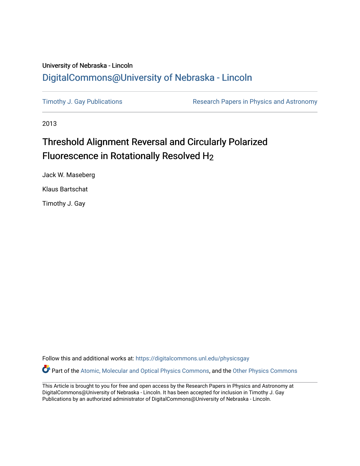## University of Nebraska - Lincoln [DigitalCommons@University of Nebraska - Lincoln](https://digitalcommons.unl.edu/)

[Timothy J. Gay Publications](https://digitalcommons.unl.edu/physicsgay) **Research Papers in Physics and Astronomy** 

2013

## Threshold Alignment Reversal and Circularly Polarized Fluorescence in Rotationally Resolved H2

Jack W. Maseberg Klaus Bartschat

Timothy J. Gay

Follow this and additional works at: [https://digitalcommons.unl.edu/physicsgay](https://digitalcommons.unl.edu/physicsgay?utm_source=digitalcommons.unl.edu%2Fphysicsgay%2F80&utm_medium=PDF&utm_campaign=PDFCoverPages)

Part of the [Atomic, Molecular and Optical Physics Commons,](http://network.bepress.com/hgg/discipline/195?utm_source=digitalcommons.unl.edu%2Fphysicsgay%2F80&utm_medium=PDF&utm_campaign=PDFCoverPages) and the [Other Physics Commons](http://network.bepress.com/hgg/discipline/207?utm_source=digitalcommons.unl.edu%2Fphysicsgay%2F80&utm_medium=PDF&utm_campaign=PDFCoverPages) 

This Article is brought to you for free and open access by the Research Papers in Physics and Astronomy at DigitalCommons@University of Nebraska - Lincoln. It has been accepted for inclusion in Timothy J. Gay Publications by an authorized administrator of DigitalCommons@University of Nebraska - Lincoln.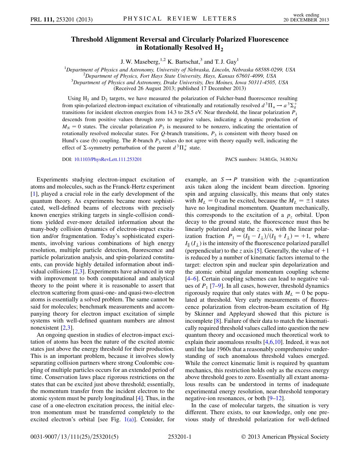## Threshold Alignment Reversal and Circularly Polarized Fluorescence in Rotationally Resolved  $H_2$

J. W. Maseberg,  $^{1,2}$  K. Bartschat,<sup>3</sup> and T. J. Gay<sup>1</sup>

<sup>1</sup>Department of Physics and Astronomy, University of Nebraska, Lincoln, Nebraska 68588-0299, USA<br><sup>2</sup>Department of Physics, Fort Hays State University, Hays Kansas 67601, 4000, USA

 $P^2$ Department of Physics, Fort Hays State University, Hays, Kansas 67601-4099, USA

 $3$ Department of Physics and Astronomy, Drake University, Des Moines, Iowa 50311-4505, USA

(Received 26 August 2013; published 17 December 2013)

Using  $H_2$  and  $D_2$  targets, we have measured the polarization of Fulcher-band fluorescence resulting from spin-polarized electron-impact excitation of vibrationally and rotationally resolved  $d^3\Pi_u \to a^3\Sigma_g^+$ transitions for incident electron energies from 14.3 to 28.5 eV. Near threshold, the linear polarization  $P_1$ descends from positive values through zero to negative values, indicating a dynamic production of  $M_N = 0$  states. The circular polarization  $P_3$  is measured to be nonzero, indicating the orientation of rotationally resolved molecular states. For  $Q$ -branch transitions,  $P_3$  is consistent with theory based on Hund's case (b) coupling. The R-branch  $P_3$  values do not agree with theory equally well, indicating the effect of  $\Sigma$ -symmetry perturbation of the parent  $d^3\Pi_u^+$  state.

DOI: [10.1103/PhysRevLett.111.253201](http://dx.doi.org/10.1103/PhysRevLett.111.253201) PACS numbers: 34.80.Gs, 34.80.Nz

Experiments studying electron-impact excitation of atoms and molecules, such as the Franck-Hertz experiment [\[1\]](#page-5-0), played a crucial role in the early development of the quantum theory. As experiments became more sophisticated, well-defined beams of electrons with precisely known energies striking targets in single-collision conditions yielded ever-more detailed information about the many-body collision dynamics of electron-impact excitation and/or fragmentation. Today's sophisticated experiments, involving various combinations of high energy resolution, multiple particle detection, fluorescence and particle polarization analysis, and spin-polarized constituents, can provide highly detailed information about individual collisions [\[2](#page-5-1)[,3](#page-5-2)]. Experiments have advanced in step with improvement to both computational and analytical theory to the point where it is reasonable to assert that electron scattering from quasi-one- and quasi-two-electron atoms is essentially a solved problem. The same cannot be said for molecules; benchmark measurements and accompanying theory for electron impact excitation of simple systems with well-defined quantum numbers are almost nonexistent [[2,](#page-5-1)[3\]](#page-5-2).

An ongoing question in studies of electron-impact excitation of atoms has been the nature of the excited atomic states just above the energy threshold for their production. This is an important problem, because it involves slowly separating collision partners where strong Coulombic coupling of multiple particles occurs for an extended period of time. Conservation laws place rigorous restrictions on the states that can be excited just above threshold; essentially, the momentum transfer from the incident electron to the atomic system must be purely longitudinal [\[4\]](#page-5-3). Thus, in the case of a one-electron excitation process, the initial electron momentum must be transferred completely to the excited electron's orbital [see Fig.  $1(a)$ ]. Consider, for example, an  $S \rightarrow P$  transition with the z-quantization axis taken along the incident beam direction. Ignoring spin and arguing classically, this means that only states with  $M_L = 0$  can be excited, because the  $M_L = \pm 1$  states have no longitudinal momentum. Quantum mechanically, this corresponds to the excitation of a  $p<sub>z</sub>$  orbital. Upon decay to the ground state, the fluorescence must thus be linearly polarized along the z axis, with the linear polarization fraction  $P_1 = (I_{\parallel} - I_{\perp})/(I_{\parallel} + I_{\perp}) = +1$ , where  $I_{\parallel}$  ( $I_{\perp}$ ) is the intensity of the fluorescence polarized parallel (perpendicular) to the z axis [[5\]](#page-5-4). Generally, the value of  $+1$ is reduced by a number of kinematic factors internal to the target: electron spin and nuclear spin depolarization and the atomic orbital angular momentum coupling scheme [\[4–](#page-5-3)[6](#page-5-5)]. Certain coupling schemes can lead to negative values of  $P_1$  [[7–](#page-5-6)[9](#page-5-7)]. In all cases, however, threshold dynamics rigorously require that only states with  $M_L = 0$  be populated at threshold. Very early measurements of fluorescence polarization from electron-beam excitation of Hg by Skinner and Appleyard showed that this picture is incomplete [[8\]](#page-5-8). Failure of their data to match the kinematically required threshold values called into question the new quantum theory and occasioned much theoretical work to explain their anomalous results [\[4](#page-5-3)[,6](#page-5-5),[10](#page-5-9)]. Indeed, it was not until the late 1960s that a reasonably comprehensive understanding of such anomalous threshold values emerged. While the correct kinematic limit is required by quantum mechanics, this restriction holds only as the excess energy above threshold goes to zero. Essentially all extant anomalous results can be understood in terms of inadequate experimental energy resolution, near-threshold temporary negative-ion resonances, or both [\[9–](#page-5-7)[12](#page-5-10)].

In the case of molecular targets, the situation is very different. There exists, to our knowledge, only one previous study of threshold polarization for well-defined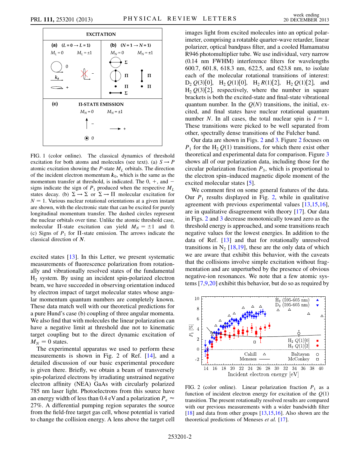

<span id="page-2-0"></span>FIG. 1 (color online). The classical dynamics of threshold excitation for both atoms and molecules (see text). (a)  $S \rightarrow P$ atomic excitation showing the  $P$ -state  $M_L$  orbitals. The direction of the incident electron momentum  $k_0$ , which is the same as the momentum transfer at threshold, is indicated. The  $0, +$ , and  $$ signs indicate the sign of  $P_1$  produced when the respective  $M_L$ states decay. (b)  $\Sigma \to \Sigma$  or  $\Sigma \to \Pi$  molecular excitation for  $N = 1$ . Various nuclear rotational orientations at a given instant are shown, with the electronic state that can be excited for purely longitudinal momentum transfer. The dashed circles represent the nuclear orbitals over time. Unlike the atomic threshold case, molecular  $\Pi$ -state excitation can yield  $M_N = \pm 1$  and 0. (c) Signs of  $P_1$  for  $\Pi$ -state emission. The arrows indicate the classical direction of N.

excited states [\[13\]](#page-5-11). In this Letter, we present systematic measurements of fluorescence polarization from rotationally and vibrationally resolved states of the fundamental H2 system. By using an incident spin-polarized electron beam, we have succeeded in observing orientation induced by electron impact of target molecular states whose angular momentum quantum numbers are completely known. These data match well with our theoretical predictions for a pure Hund's case (b) coupling of three angular momenta. We also find that with molecules the linear polarization can have a negative limit at threshold due not to kinematic target coupling but to the direct dynamic excitation of  $M_N = 0$  states.

The experimental apparatus we used to perform these measurements is shown in Fig. 2 of Ref. [[14](#page-5-12)], and a detailed discussion of our basic experimental procedure is given there. Briefly, we obtain a beam of transversely spin-polarized electrons by irradiating unstrained negative electron affinity (NEA) GaAs with circularly polarized 785 nm laser light. Photoelectrons from this source have an energy width of less than 0.4 eV and a polarization  $P_e \approx$ 27%. A differential pumping region separates the source from the field-free target gas cell, whose potential is varied to change the collision energy. A lens above the target cell images light from excited molecules into an optical polarimeter, comprising a rotatable quarter-wave retarder, linear polarizer, optical bandpass filter, and a cooled Hamamatsu R946 photomultiplier tube. We use individual, very narrow (0.14 nm FWHM) interference filters for wavelengths 600.7, 601.8, 618.3 nm, 622.5, and 623.8 nm, to isolate each of the molecular rotational transitions of interest:  $D_2 Q(3)[0], H_2 Q(1)[0], H_2 R(1)[2], H_2 Q(1)[2],$  and  $H_2 Q(3)[2]$ , respectively, where the number in square brackets is both the excited-state and final-state vibrational quantum number. In the  $Q(N)$  transitions, the initial, excited, and final states have nuclear rotational quantum number N. In all cases, the total nuclear spin is  $I = 1$ . These transitions were picked to be well separated from other, spectrally dense transitions of the Fulcher band.

Our data are shown in Figs. [2](#page-2-1) and [3.](#page-3-0) Figure [2](#page-2-1) focuses on  $P_1$  for the H<sub>2</sub>  $Q(1)$  transitions, for which there exist other theoretical and experimental data for comparison. Figure [3](#page-3-0) shows all of our polarization data, including those for the circular polarization fraction  $P_3$ , which is proportional to the electron spin–induced magnetic dipole moment of the excited molecular states [\[5](#page-5-4)].

We comment first on some general features of the data. Our  $P_1$  results displayed in Fig. [2,](#page-2-1) while in qualitative agreement with previous experimental values [\[13](#page-5-11)[,15,](#page-5-13)[16\]](#page-5-14), are in qualitative disagreement with theory [[17\]](#page-5-15). Our data in Figs. [2](#page-2-1) and [3](#page-3-0) decrease monotonically toward zero as the threshold energy is approached, and some transitions reach negative values for the lowest energies. In addition to the data of Ref. [[13](#page-5-11)] and that for rotationally unresolved transitions in  $N_2$  [\[18,](#page-5-16)[19\]](#page-5-17), these are the only data of which we are aware that exhibit this behavior, with the caveats that the collisions involve simple excitation without fragmentation and are unperturbed by the presence of obvious negative-ion resonances. We note that a few atomic systems [\[7](#page-5-6)[,9,](#page-5-7)[20\]](#page-5-18) exhibit this behavior, but do so as required by

<span id="page-2-1"></span>

FIG. 2 (color online). Linear polarization fraction  $P_1$  as a function of incident electron energy for excitation of the  $Q(1)$ transition. The present rotationally resolved results are compared with our previous measurements with a wider bandwidth filter [\[18\]](#page-5-16) and data from other groups [\[13,](#page-5-11)[15,](#page-5-13)[16](#page-5-14)]. Also shown are the theoretical predictions of Meneses et al. [\[17\]](#page-5-15).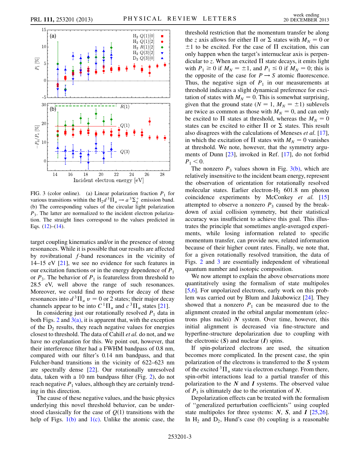<span id="page-3-0"></span>

<span id="page-3-1"></span>FIG. 3 (color online). (a) Linear polarization fraction  $P_1$  for various transitions within the  $H_2 d^3 \Pi_u \rightarrow a^3 \Sigma_g^+$  emission band. (b) The corresponding values of the circular light polarization  $P_3$ . The latter are normalized to the incident electron polarization. The straight lines correspond to the values predicted in Eqs.  $(12)$  $(12)$  $(12)$ – $(14)$ .

target coupling kinematics and/or in the presence of strong resonances. While it is possible that our results are affected by rovibrational f-band resonances in the vicinity of 14–15 eV [[21](#page-5-19)], we see no evidence for such features in our excitation functions or in the energy dependence of  $P_1$ or  $P_3$ . The behavior of  $P_1$  is featureless from threshold to 28.5 eV, well above the range of such resonances. Moreover, we could find no reports for decay of these resonances into  $d^3\Pi_u$   $v = 0$  or 2 states; their major decay channels appear to be into  $C^{1}\Pi_{u}$  and  $c^{3}\Pi_{u}$  states [\[21\]](#page-5-19).

In considering just our rotationally resolved  $P_1$  data in both Figs.  $2$  and  $3(a)$ , it is apparent that, with the exception of the  $D_2$  results, they reach negative values for energies closest to threshold. The data of Cahill et al. do not, and we have no explanation for this. We point out, however, that their interference filter had a FWHM bandpass of 0.8 nm, compared with our filter's 0.14 nm bandpass, and that Fulcher-band transitions in the vicinity of 622–623 nm are spectrally dense [\[22\]](#page-5-20). Our rotationally unresolved data, taken with a 10 nm bandpass filter (Fig. [2](#page-2-1)), do not reach negative  $P_1$  values, although they are certainly trending in this direction.

The cause of these negative values, and the basic physics underlying this novel threshold behavior, can be understood classically for the case of  $Q(1)$  transitions with the help of Figs.  $1(b)$  and  $1(c)$ . Unlike the atomic case, the threshold restriction that the momentum transfer be along the z axis allows for either  $\Pi$  or  $\Sigma$  states with  $M_N = 0$  or  $\pm 1$  to be excited. For the case of  $\Pi$  excitation, this can only happen when the target's internuclear axis is perpendicular to z. When an excited  $\Pi$  state decays, it emits light with  $P_1 \ge 0$  if  $M_N = \pm 1$ , and  $P_1 \le 0$  if  $M_N = 0$ ; this is the opposite of the case for  $P \rightarrow S$  atomic fluorescence. Thus, the negative sign of  $P_1$  in our measurements at threshold indicates a slight dynamical preference for excitation of states with  $M_N = 0$ . This is somewhat surprising, given that the ground state ( $N = 1$ ,  $M_N = \pm 1$ ) sublevels are twice as common as those with  $M_N = 0$ , and can only be excited to  $\Pi$  states at threshold, whereas the  $M_N = 0$ states can be excited to either  $\Pi$  or  $\Sigma$  states. This result also disagrees with the calculations of Meneses et al. [[17\]](#page-5-15), in which the excitation of  $\Pi$  states with  $M_N = 0$  vanishes at threshold. We note, however, that the symmetry arguments of Dunn [\[23\]](#page-5-21), invoked in Ref. [\[17\]](#page-5-15), do not forbid  $P_1 < 0.$ 

The nonzero  $P_3$  values shown in Fig. [3\(b\),](#page-3-1) which are relatively insensitive to the incident beam energy, represent the observation of orientation for rotationally resolved molecular states. Earlier electron- $H<sub>2</sub>$  601.8 nm photon coincidence experiments by McConkey et al. [\[15\]](#page-5-13) attempted to observe a nonzero  $P_3$  caused by the breakdown of axial collision symmetry, but their statistical accuracy was insufficient to achieve this goal. This illustrates the principle that sometimes angle-averaged experiments, while losing information related to specific momentum transfer, can provide new, related information because of their higher count rates. Finally, we note that, for a given rotationally resolved transition, the data of Figs. [2](#page-2-1) and [3](#page-3-0) are essentially independent of vibrational quantum number and isotopic composition.

We now attempt to explain the above observations more quantitatively using the formalism of state multipoles [\[5,](#page-5-4)[6](#page-5-5)]. For unpolarized electrons, early work on this problem was carried out by Blum and Jakubowicz [[24](#page-5-22)]. They showed that a nonzero  $P_1$  can be measured due to the alignment created in the orbital angular momentum (electrons plus nuclei)  $N$  system. Over time, however, this initial alignment is decreased via fine-structure and hyperfine-structure depolarization due to coupling with the electronic  $(S)$  and nuclear  $(I)$  spins.

If spin-polarized electrons are used, the situation becomes more complicated. In the present case, the spin polarization of the electrons is transferred to the S system of the excited  ${}^{3}$  $\Pi_{\nu}$  state via electron exchange. From there, spin-orbit interactions lead to a partial transfer of this polarization to the  $N$  and  $I$  systems. The observed value of  $P_3$  is ultimately due to the orientation of N.

Depolarization effects can be treated with the formalism of ''generalized perturbation coefficients'' using coupled state multipoles for three systems:  $N$ ,  $S$ , and  $I$  [\[25,](#page-5-23)[26\]](#page-5-24). In  $H_2$  and  $D_2$ , Hund's case (b) coupling is a reasonable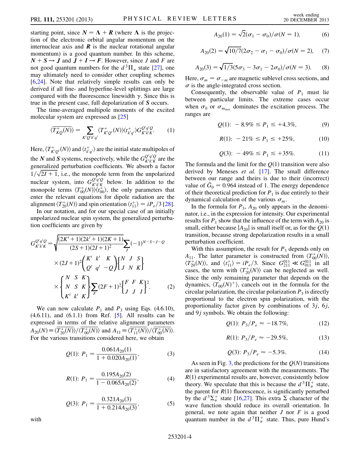starting point, since  $N = \Lambda + R$  (where  $\Lambda$  is the projection of the electronic orbital angular momentum on the internuclear axis and  $\bf{R}$  is the nuclear rotational angular momentum) is a good quantum number. In this scheme,  $N + S \rightarrow J$  and  $J + I \rightarrow F$ . However, since J and F are not good quantum numbers for the  $d^3\Pi_u$  state [[27](#page-5-25)], one may ultimately need to consider other coupling schemes [\[6,](#page-5-5)[24\]](#page-5-22). Note that relatively simple results can only be derived if all fine- and hyperfine-level splittings are large compared with the fluorescence linewidth  $\gamma$ . Since this is true in the present case, full depolarization of S occurs.

The time-averaged multipole moments of the excited molecular system are expressed as [\[25\]](#page-5-23)

$$
\langle \overline{T_{KQ}^{+}(N)} \rangle = \sum_{K'Q'k'q'} \langle T_{K'Q'}^{+}(N) \rangle \langle t_{k'q'}^{+} \rangle G_{K'k'K}^{Q'q'Q}.
$$
 (1)

Here,  $\langle T^+_{K'Q'}(N)\rangle$  and  $\langle t^+_{k'q'}\rangle$  are the initial state multipoles of the N and S systems, respectively, while the  $G_{\kappa'\nu'\kappa}^{Q'q'Q}$  $\frac{Q'q'Q}{K'k'K}$  are the generalized perturbation coefficients. We absorb a factor  $1/\sqrt{2I + 1}$ , i.e., the monopole term from the unpolarized nuclear system, into  $G_{\vec{k}^{\prime}\vec{k}^{\prime}K}^{Q'q'Q}$  $K'_{k'k'}$  below. In addition to the monopole terms  $\langle T_{00}^+(N)\rangle \langle t_{00}^+\rangle$ , the only parameters that enter the relevant equations for dipole radiation are the alignment  $\langle T_{20}^{+}(N) \rangle$  and spin orientation  $\langle t_{11}^{+} \rangle = iP_e/3$  [[28\]](#page-5-26).

In our notation, and for our special case of an initially unpolarized nuclear spin system, the generalized perturbation coefficients are given by

$$
G_{K'k'K}^{Q'q'Q} = \sqrt{\frac{(2K'+1)(2k'+1)(2K+1)}{(2S+1)(2I+1)^2}} \sum_{J} (-1)^{N-S-J-Q}
$$
  
×  $(2J+1)^2 \left(\frac{K'k'}{Q'q'-Q}\right) \left\{\begin{array}{ccc} J & S \\ J & N & K \end{array}\right\}$   
× 
$$
\left\{\begin{array}{ccc} N & S & K \\ N & S & K \\ K' & k' & K \end{array}\right\} \sum_{F} (2F+1)^2 \left\{\begin{array}{ccc} F & F & K \\ J & J & I \end{array}\right\}^2.
$$
 (2)

We can now calculate  $P_1$  and  $P_3$  using Eqs. (4.6.10),  $(4.6.11)$ , and  $(6.1.1)$  from Ref.  $[5]$ . All results can be expressed in terms of the relative alignment parameters  $A_{20}(N) \equiv \langle T_{20}^{+}(N) \rangle / \langle T_{00}^{+}(N) \rangle$  and  $A_{11} \equiv \langle T_{11}^{+}(N) \rangle / \langle T_{00}^{+}(N) \rangle$ . For the various transitions considered here, we obtain

$$
Q(1): P_1 = \frac{0.061A_{20}(1)}{1 + 0.020A_{20}(1)},
$$
\n(3)

$$
R(1): P_1 = \frac{0.195A_{20}(2)}{1 - 0.065A_{20}(2)},
$$
\n(4)

$$
Q(3): P_1 = \frac{0.321A_{20}(3)}{1 + 0.214A_{20}(3)},
$$
\n(5)

with

$$
A_{20}(1) = \sqrt{2}(\sigma_1 - \sigma_0)/\sigma(N = 1),
$$
 (6)

$$
A_{20}(2) = \sqrt{10/7}(2\sigma_2 - \sigma_1 - \sigma_0)/\sigma(N = 2), \quad (7)
$$

$$
A_{20}(3) = \sqrt{1/3}(5\sigma_3 - 3\sigma_1 - 2\sigma_0)/\sigma(N = 3).
$$
 (8)

Here,  $\sigma_m = \sigma_{-m}$  are magnetic sublevel cross sections, and  $\sigma$  is the angle-integrated cross section.

Consequently, the observable value of  $P_1$  must lie between particular limits. The extreme cases occur when  $\sigma_0$  or  $\sigma_{m_{\text{max}}}$  dominates the excitation process. The ranges are

$$
Q(1): -8.9\% \le P_1 \le +4.3\%,\tag{9}
$$

$$
R(1): -21\% \le P_1 \le +25\%,\tag{10}
$$

$$
Q(3): -49\% \le P_1 \le +35\%.\tag{11}
$$

The formula and the limit for the  $Q(1)$  transition were also derived by Meneses et al. [\[17\]](#page-5-15). The small difference between our range and theirs is due to their (incorrect) value of  $G_0 = 0.964$  instead of 1. The energy dependence of their theoretical prediction for  $P_1$  is due entirely to their dynamical calculation of the various  $\sigma_m$ .

In the formula for  $P_3$ ,  $A_{20}$  only appears in the denominator, i.e., in the expression for intensity. Our experimental results for  $P_1$  show that the influence of the term with  $A_{20}$  is small, either because  $|A_{20}|$  is small itself or, as for the  $Q(1)$ transition, because strong depolarization results in a small perturbation coefficient.

With this assumption, the result for  $P_3$  depends only on  $A_{11}$ . The latter parameter is constructed from  $\langle T_{00}^{+}(N) \rangle$ ,  $\langle T_{20}^{+}(N) \rangle$ , and  $\langle t_{11}^{+} \rangle = i P_e/3$ . Since  $G_{211}^{011} \ll G_{011}^{011}$  in all cases, the term with  $\langle T_{20}^{+}(N) \rangle$  can be neglected as well. Since the only remaining parameter that depends on the dynamics,  $\langle T_{00}(N)^{+}\rangle$ , cancels out in the formula for the circular polarization, the circular polarization  $P_3$  is directly proportional to the electron spin polarization, with the proportionality factor given by combinations of  $3j$ ,  $6j$ , and  $9j$  symbols. We obtain the following:

$$
Q(1): P_3/P_e \approx -18.7\%,\tag{12}
$$

$$
R(1): P_3/P_e \approx -29.5\%,\tag{13}
$$

$$
Q(3): P_3/P_e \approx -5.3\%.\tag{14}
$$

<span id="page-4-1"></span><span id="page-4-0"></span>As seen in Fig. [3,](#page-3-0) the predictions for the  $O(N)$  transitions are in satisfactory agreement with the measurements. The  $R(1)$  experimental results are, however, consistently below theory. We speculate that this is because the  $d^3\Pi_u^+$  state, the parent for  $R(1)$  fluorescence, is significantly perturbed by the  $d^3\Sigma_u^+$  state [\[16](#page-5-14)[,27\]](#page-5-25). This extra  $\Sigma$  character of the wave function should reduce its overall orientation. In general, we note again that neither  $J$  nor  $F$  is a good quantum number in the  $d^3\Pi_u^+$  state. Thus, pure Hund's